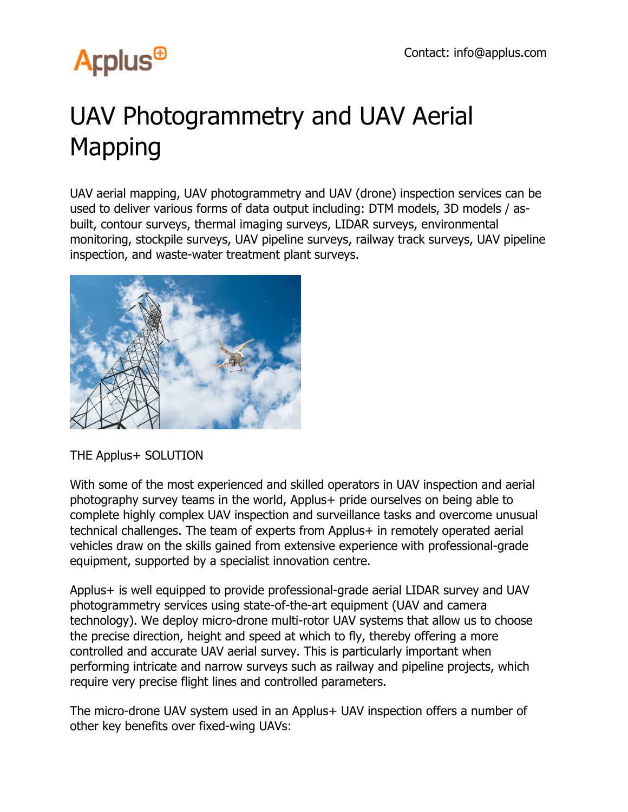## **Arplus<sup>®</sup>**

## UAV Photogrammetry and UAV Aerial Mapping

UAV aerial mapping, UAV photogrammetry and UAV (drone) inspection services can be used to deliver various forms of data output including: DTM models, 3D models / asbuilt, contour surveys, thermal imaging surveys, LIDAR surveys, environmental monitoring, stockpile surveys, UAV pipeline surveys, railway track surveys, UAV pipeline inspection, and waste-water treatment plant surveys.



THE Applus+ SOLUTION

With some of the most experienced and skilled operators in UAV inspection and aerial photography survey teams in the world, Applus+ pride ourselves on being able to complete highly complex UAV inspection and surveillance tasks and overcome unusual technical challenges. The team of experts from Applus+ in remotely operated aerial vehicles draw on the skills gained from extensive experience with professional-grade equipment, supported by a specialist innovation centre.

Applus+ is well equipped to provide professional-grade aerial LIDAR survey and UAV photogrammetry services using state-of-the-art equipment (UAV and camera technology). We deploy micro-drone multi-rotor UAV systems that allow us to choose the precise direction, height and speed at which to fly, thereby offering a more controlled and accurate UAV aerial survey. This is particularly important when performing intricate and narrow surveys such as railway and pipeline projects, which require very precise flight lines and controlled parameters.

The micro-drone UAV system used in an Applus+ UAV inspection offers a number of other key benefits over fixed-wing UAVs: